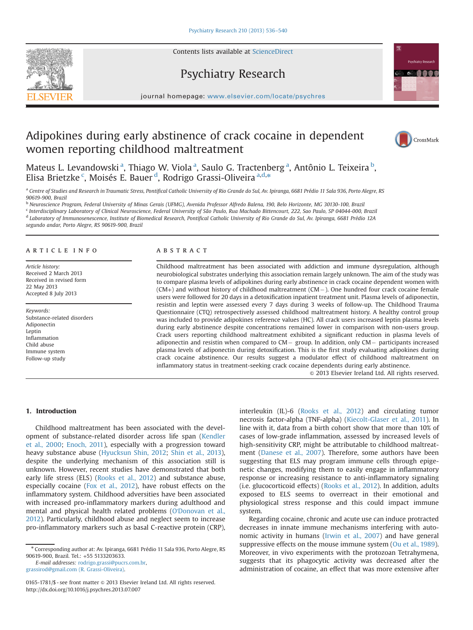Contents lists available at [ScienceDirect](www.sciencedirect.com/science/journal/01651781)



journal homepage: <www.elsevier.com/locate/psychres>

Psychiatry Research

## Adipokines during early abstinence of crack cocaine in dependent women reporting childhood maltreatment



Mateus L. Levandowski<sup>a</sup>, Thiago W. Viola<sup>a</sup>, Saulo G. Tractenberg<sup>a</sup>, Antônio L. Teixeira<sup>b</sup>, Elisa Brietzke <sup>c</sup>, Moisés E. Bauer <sup>d</sup>, Rodrigo Grassi-Oliveira <sup>a,d,</sup>\*

a Centre of Studies and Research in Traumatic Stress, Pontifical Catholic University of Rio Grande do Sul, Av. Ipiranga, 6681 Prédio 11 Sala 936, Porto Alegre, RS 90619-900, Brazil

<sup>b</sup> Neuroscience Program, Federal University of Minas Gerais (UFMG), Avenida Professor Alfredo Balena, 190, Belo Horizonte, MG 30130-100, Brazil

<sup>c</sup> Interdisciplinary Laboratory of Clinical Neuroscience, Federal University of São Paulo, Rua Machado Bittencourt, 222, Sao Paulo, SP 04044-000, Brazil

<sup>d</sup> Laboratory of Immunosenescence, Institute of Biomedical Research, Pontifical Catholic University of Rio Grande do Sul, Av. Ipiranga, 6681 Prédio 12A

segundo andar, Porto Alegre, RS 90619-900, Brazil

#### article info

Article history: Received 2 March 2013 Received in revised form 22 May 2013 Accepted 8 July 2013

Keywords: Substance-related disorders Adiponectin Leptin Inflammation Child abuse Immune system Follow-up study

#### **ABSTRACT**

Childhood maltreatment has been associated with addiction and immune dysregulation, although neurobiological substrates underlying this association remain largely unknown. The aim of the study was to compare plasma levels of adipokines during early abstinence in crack cocaine dependent women with  $(CM+)$  and without history of childhood maltreatment  $(CM-)$ . One hundred four crack cocaine female users were followed for 20 days in a detoxification inpatient treatment unit. Plasma levels of adiponectin, resistin and leptin were assessed every 7 days during 3 weeks of follow-up. The Childhood Trauma Questionnaire (CTQ) retrospectively assessed childhood maltreatment history. A healthy control group was included to provide adipokines reference values (HC). All crack users increased leptin plasma levels during early abstinence despite concentrations remained lower in comparison with non-users group. Crack users reporting childhood maltreatment exhibited a significant reduction in plasma levels of adiponectin and resistin when compared to  $CM -$  group. In addition, only  $CM -$  participants increased plasma levels of adiponectin during detoxification. This is the first study evaluating adipokines during crack cocaine abstinence. Our results suggest a modulator effect of childhood maltreatment on inflammatory status in treatment-seeking crack cocaine dependents during early abstinence.

 $\odot$  2013 Elsevier Ireland Ltd. All rights reserved.

### 1. Introduction

Childhood maltreatment has been associated with the development of substance-related disorder across life span (Kendler et al., 2000; Enoch, 2011), especially with a progression toward heavy substance abuse (Hyucksun Shin, 2012; Shin et al., 2013), despite the underlying mechanism of this association still is unknown. However, recent studies have demonstrated that both early life stress (ELS) (Rooks et al., 2012) and substance abuse, especially cocaine (Fox et al., 2012), have robust effects on the inflammatory system. Childhood adversities have been associated with increased pro-inflammatory markers during adulthood and mental and physical health related problems (O'Donovan et al., 2012). Particularly, childhood abuse and neglect seem to increase pro-inflammatory markers such as basal C-reactive protein (CRP),

E-mail addresses: [rodrigo.grassi@pucrs.com.br,](mailto:rodrigo.grassi@pucrs.com.br)

[grassirod@gmail.com \(R. Grassi-Oliveira\)](mailto:grassirod@gmail.com).

interleukin (IL)-6 (Rooks et al., 2012) and circulating tumor necrosis factor-alpha (TNF-alpha) (Kiecolt-Glaser et al., 2011). In line with it, data from a birth cohort show that more than 10% of cases of low-grade inflammation, assessed by increased levels of high-sensitivity CRP, might be attributable to childhood maltreatment (Danese et al., 2007). Therefore, some authors have been suggesting that ELS may program immune cells through epigenetic changes, modifying them to easily engage in inflammatory response or increasing resistance to anti-inflammatory signaling (i.e. glucocorticoid effects) (Rooks et al., 2012). In addition, adults exposed to ELS seems to overreact in their emotional and physiological stress response and this could impact immune system.

Regarding cocaine, chronic and acute use can induce protracted decreases in innate immune mechanisms interfering with autonomic activity in humans (Irwin et al., 2007) and have general suppressive effects on the mouse immune system (Ou et al., 1989). Moreover, in vivo experiments with the protozoan Tetrahymena, suggests that its phagocytic activity was decreased after the administration of cocaine, an effect that was more extensive after

<sup>n</sup> Corresponding author at: Av. Ipiranga, 6681 Prédio 11 Sala 936, Porto Alegre, RS 90619-900, Brazil. Tel.: +55 5133203633.

<sup>0165-1781/\$ -</sup> see front matter @ 2013 Elsevier Ireland Ltd. All rights reserved. <http://dx.doi.org/10.1016/j.psychres.2013.07.007>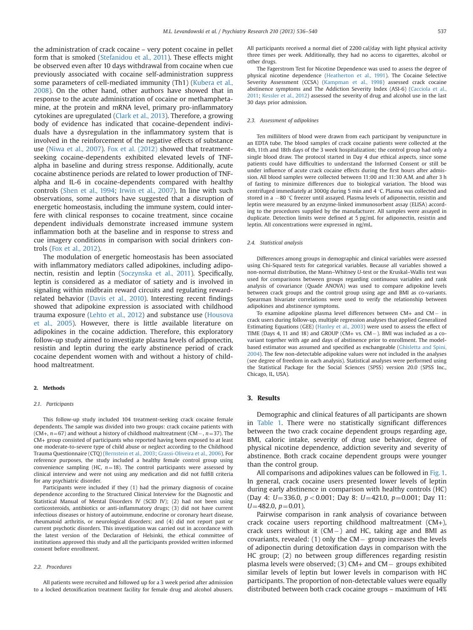the administration of crack cocaine – very potent cocaine in pellet form that is smoked (Stefanidou et al., 2011). These effects might be observed even after 10 days withdrawal from cocaine when cue previously associated with cocaine self-administration suppress some parameters of cell-mediated immunity (Th1) (Kubera et al., 2008). On the other hand, other authors have showed that in response to the acute administration of cocaine or methamphetamine, at the protein and mRNA level, primary pro-inflammatory cytokines are upregulated (Clark et al., 2013). Therefore, a growing body of evidence has indicated that cocaine-dependent individuals have a dysregulation in the inflammatory system that is involved in the reinforcement of the negative effects of substance use (Niwa et al., 2007). Fox et al. (2012) showed that treatmentseeking cocaine-dependents exhibited elevated levels of TNFalpha in baseline and during stress response. Additionally, acute cocaine abstinence periods are related to lower production of TNFalpha and IL-6 in cocaine-dependents compared with healthy controls (Shen et al., 1994; Irwin et al., 2007). In line with such observations, some authors have suggested that a disruption of energetic homeostasis, including the immune system, could interfere with clinical responses to cocaine treatment, since cocaine dependent individuals demonstrate increased immune system inflammation both at the baseline and in response to stress and cue imagery conditions in comparison with social drinkers controls (Fox et al., 2012).

The modulation of energetic homeostasis has been associated with inflammatory mediators called adipokines, including adiponectin, resistin and leptin (Soczynska et al., 2011). Specifically, leptin is considered as a mediator of satiety and is involved in signaling within midbrain reward circuits and regulating rewardrelated behavior (Davis et al., 2010). Interesting recent findings showed that adipokine expression is associated with childhood trauma exposure (Lehto et al., 2012) and substance use (Housova et al., 2005). However, there is little available literature on adipokines in the cocaine addiction. Therefore, this exploratory follow-up study aimed to investigate plasma levels of adiponectin, resistin and leptin during the early abstinence period of crack cocaine dependent women with and without a history of childhood maltreatment.

#### 2. Methods

#### 2.1. Participants

This follow-up study included 104 treatment-seeking crack cocaine female dependents. The sample was divided into two groups: crack cocaine patients with (CM+,  $n=67$ ) and without a history of childhood maltreatment (CM – ,  $n=37$ ). The CM+ group consisted of participants who reported having been exposed to at least one moderate-to-severe type of child abuse or neglect according to the Childhood Trauma Questionnaire (CTQ) (Bernstein et al., 2003; Grassi-Oliveira et al., 2006). For reference purposes, the study included a healthy female control group using convenience sampling (HC,  $n=18$ ). The control participants were assessed by clinical interview and were not using any medication and did not fulfill criteria for any psychiatric disorder.

Participants were included if they (1) had the primary diagnosis of cocaine dependence according to the Structured Clinical Interview for the Diagnostic and Statistical Manual of Mental Disorders IV (SCID IV); (2) had not been using corticosteroids, antibiotics or anti-inflammatory drugs; (3) did not have current infectious diseases or history of autoimmune, endocrine or coronary heart disease, rheumatoid arthritis, or neurological disorders; and (4) did not report past or current psychotic disorders. This investigation was carried out in accordance with the latest version of the Declaration of Helsinki, the ethical committee of institutions approved this study and all the participants provided written informed consent before enrollment.

#### 2.2. Procedures

All patients were recruited and followed up for a 3 week period after admission to a locked detoxification treatment facility for female drug and alcohol abusers. All participants received a normal diet of 2200 cal/day with light physical activity three times per week. Additionally, they had no access to cigarettes, alcohol or other drugs.

The Fagerstrom Test for Nicotine Dependence was used to assess the degree of physical nicotine dependence (Heatherton et al., 1991). The Cocaine Selective Severity Assessment (CCSA) (Kampman et al., 1998) assessed crack cocaine abstinence symptoms and The Addiction Severity Index (ASI-6) (Cacciola et al., 2011; Kessler et al., 2012) assessed the severity of drug and alcohol use in the last 30 days prior admission.

#### 2.3. Assessment of adipokines

Ten milliliters of blood were drawn from each participant by venipuncture in an EDTA tube. The blood samples of crack cocaine patients were collected at the 4th, 11th and 18th days of the 3 week hospitalization; the control group had only a single blood draw. The protocol started in Day 4 due ethical aspects, since some patients could have difficulties to understand the Informed Consent or still be under influence of acute crack cocaine effects during the first hours after admission. All blood samples were collected between 11:00 and 11:30 A.M. and after 3 h of fasting to minimize differences due to biological variation. The blood was centrifuged immediately at 3000g during 5 min and 4  $\degree$ C. Plasma was collected and stored in a  $-80$  °C freezer until assayed. Plasma levels of adiponectin, resistin and leptin were measured by an enzyme-linked immunosorbent assay (ELISA) according to the procedures supplied by the manufacturer. All samples were assayed in duplicate. Detection limits were defined at 5 pg/mL for adiponectin, resistin and leptin. All concentrations were expressed in ng/mL.

#### 2.4. Statistical analysis

Differences among groups in demographic and clinical variables were assessed using Chi-Squared tests for categorical variables. Because all variables showed a non-normal distribution, the Mann–Whitney U-test or the Kruskal–Wallis test was used for comparisons between groups regarding continuous variables and rank analysis of covariance (Quade ANOVA) was used to compare adipokine levels between crack groups and the control group using age and BMI as co-variants. Spearman bivariate correlations were used to verify the relationship between adipokines and abstinence symptoms.

To examine adipokine plasma level differences between  $CM+$  and  $CM-$  in crack users during follow-up, multiple regression analyses that applied Generalized Estimating Equations (GEE) (Hanley et al., 2003) were used to assess the effect of TIME (Days 4, 11 and 18) and GROUP (CM+ vs. CM  $-$  ). BMI was included as a covariant together with age and days of abstinence prior to enrollment. The modelbased estimator was assumed and specified as exchangeable (Ghisletta and Spini, 2004). The few non-detectable adipokine values were not included in the analyses (see degree of freedom in each analysis). Statistical analyses were performed using the Statistical Package for the Social Sciences (SPSS) version 20.0 (SPSS Inc., Chicago, IL, USA).

#### 3. Results

Demographic and clinical features of all participants are shown in Table 1. There were no statistically significant differences between the two crack cocaine dependent groups regarding age, BMI, caloric intake, severity of drug use behavior, degree of physical nicotine dependence, addiction severity and severity of abstinence. Both crack cocaine dependent groups were younger than the control group.

All comparisons and adipokines values can be followed in Fig. 1. In general, crack cocaine users presented lower levels of leptin during early abstinence in comparison with healthy controls (HC) (Day 4: U=336.0,  $p < 0.001$ ; Day 8: U=421.0,  $p = 0.001$ ; Day 11:  $U=482.0, p=0.01$ ).

Pairwise comparison in rank analysis of covariance between crack cocaine users reporting childhood maltreatment (CM+), crack users without it  $(CM-)$  and HC, taking age and BMI as covariants, revealed:  $(1)$  only the CM – group increases the levels of adiponectin during detoxification days in comparison with the HC group; (2) no between group differences regarding resistin plasma levels were observed; (3)  $CM+$  and  $CM-$  groups exhibited similar levels of leptin but lower levels in comparison with HC participants. The proportion of non-detectable values were equally distributed between both crack cocaine groups – maximum of 14%